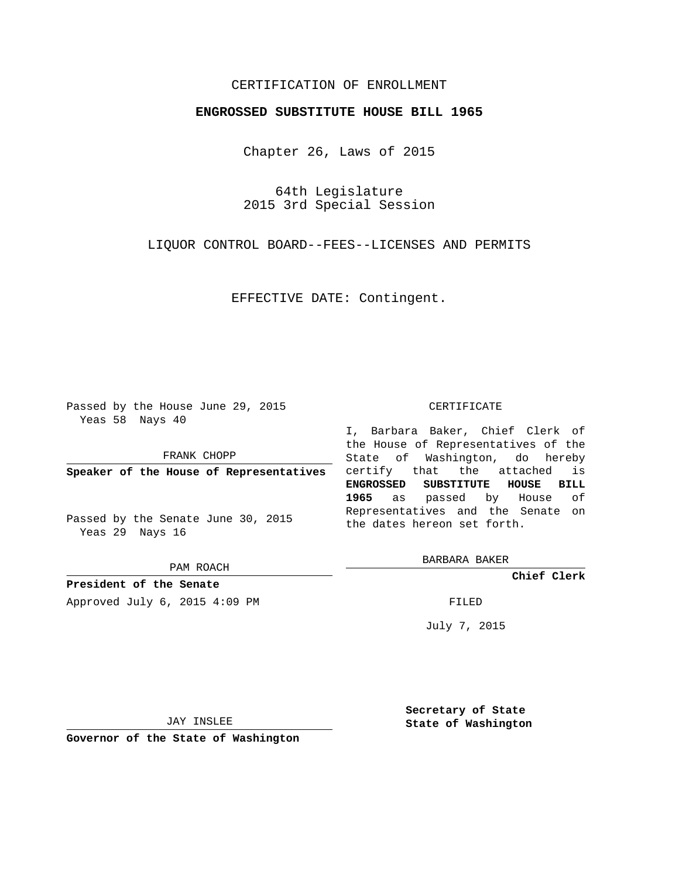## CERTIFICATION OF ENROLLMENT

## **ENGROSSED SUBSTITUTE HOUSE BILL 1965**

Chapter 26, Laws of 2015

64th Legislature 2015 3rd Special Session

LIQUOR CONTROL BOARD--FEES--LICENSES AND PERMITS

EFFECTIVE DATE: Contingent.

Passed by the House June 29, 2015 Yeas 58 Nays 40

FRANK CHOPP

**Speaker of the House of Representatives**

Passed by the Senate June 30, 2015 Yeas 29 Nays 16

PAM ROACH

**President of the Senate** Approved July 6, 2015 4:09 PM FILED

## CERTIFICATE

I, Barbara Baker, Chief Clerk of the House of Representatives of the State of Washington, do hereby certify that the attached is **ENGROSSED SUBSTITUTE HOUSE BILL 1965** as passed by House of Representatives and the Senate on the dates hereon set forth.

BARBARA BAKER

**Chief Clerk**

July 7, 2015

JAY INSLEE

**Governor of the State of Washington**

**Secretary of State State of Washington**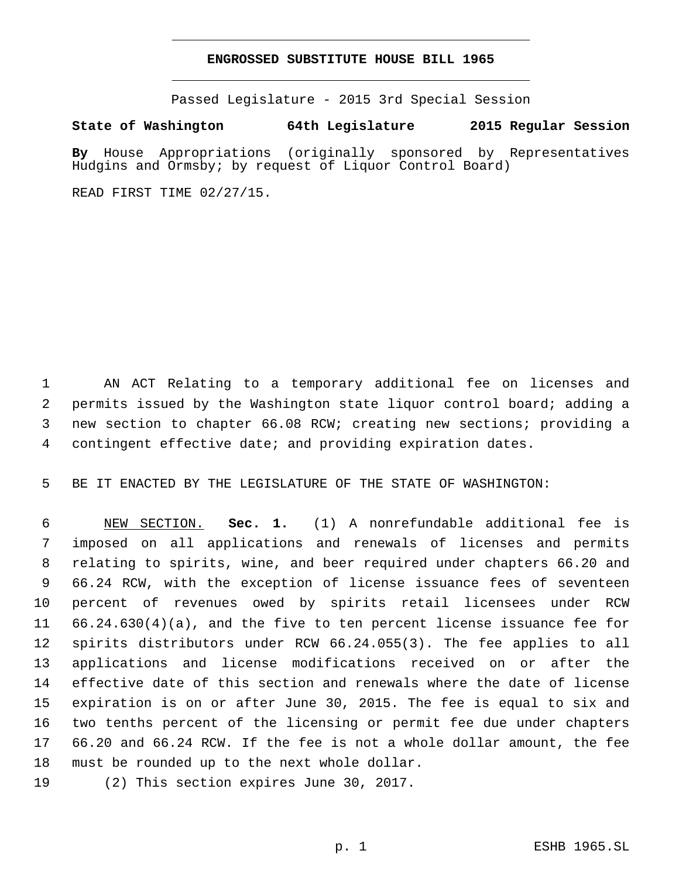## **ENGROSSED SUBSTITUTE HOUSE BILL 1965**

Passed Legislature - 2015 3rd Special Session

**State of Washington 64th Legislature 2015 Regular Session**

**By** House Appropriations (originally sponsored by Representatives Hudgins and Ormsby; by request of Liquor Control Board)

READ FIRST TIME 02/27/15.

 AN ACT Relating to a temporary additional fee on licenses and permits issued by the Washington state liquor control board; adding a new section to chapter 66.08 RCW; creating new sections; providing a contingent effective date; and providing expiration dates.

BE IT ENACTED BY THE LEGISLATURE OF THE STATE OF WASHINGTON:

 NEW SECTION. **Sec. 1.** (1) A nonrefundable additional fee is imposed on all applications and renewals of licenses and permits relating to spirits, wine, and beer required under chapters 66.20 and 66.24 RCW, with the exception of license issuance fees of seventeen percent of revenues owed by spirits retail licensees under RCW 66.24.630(4)(a), and the five to ten percent license issuance fee for spirits distributors under RCW 66.24.055(3). The fee applies to all applications and license modifications received on or after the effective date of this section and renewals where the date of license expiration is on or after June 30, 2015. The fee is equal to six and two tenths percent of the licensing or permit fee due under chapters 66.20 and 66.24 RCW. If the fee is not a whole dollar amount, the fee must be rounded up to the next whole dollar.

19 (2) This section expires June 30, 2017.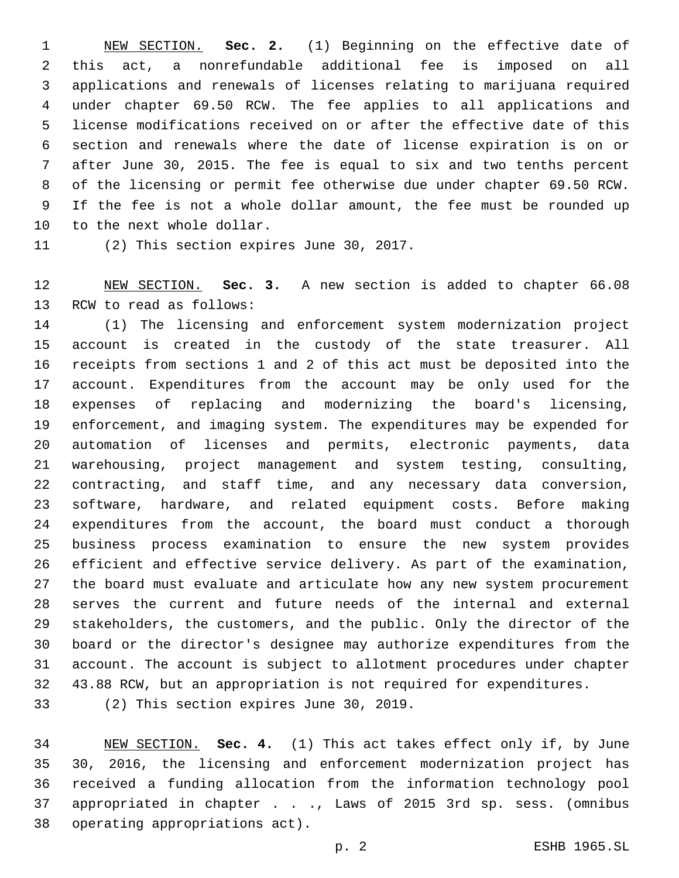NEW SECTION. **Sec. 2.** (1) Beginning on the effective date of this act, a nonrefundable additional fee is imposed on all applications and renewals of licenses relating to marijuana required under chapter 69.50 RCW. The fee applies to all applications and license modifications received on or after the effective date of this section and renewals where the date of license expiration is on or after June 30, 2015. The fee is equal to six and two tenths percent of the licensing or permit fee otherwise due under chapter 69.50 RCW. If the fee is not a whole dollar amount, the fee must be rounded up to the next whole dollar.

11 (2) This section expires June 30, 2017.

 NEW SECTION. **Sec. 3.** A new section is added to chapter 66.08 13 RCW to read as follows:

 (1) The licensing and enforcement system modernization project account is created in the custody of the state treasurer. All receipts from sections 1 and 2 of this act must be deposited into the account. Expenditures from the account may be only used for the expenses of replacing and modernizing the board's licensing, enforcement, and imaging system. The expenditures may be expended for automation of licenses and permits, electronic payments, data warehousing, project management and system testing, consulting, contracting, and staff time, and any necessary data conversion, software, hardware, and related equipment costs. Before making expenditures from the account, the board must conduct a thorough business process examination to ensure the new system provides efficient and effective service delivery. As part of the examination, the board must evaluate and articulate how any new system procurement serves the current and future needs of the internal and external stakeholders, the customers, and the public. Only the director of the board or the director's designee may authorize expenditures from the account. The account is subject to allotment procedures under chapter 43.88 RCW, but an appropriation is not required for expenditures.

33 (2) This section expires June 30, 2019.

 NEW SECTION. **Sec. 4.** (1) This act takes effect only if, by June 30, 2016, the licensing and enforcement modernization project has received a funding allocation from the information technology pool appropriated in chapter . . ., Laws of 2015 3rd sp. sess. (omnibus operating appropriations act).